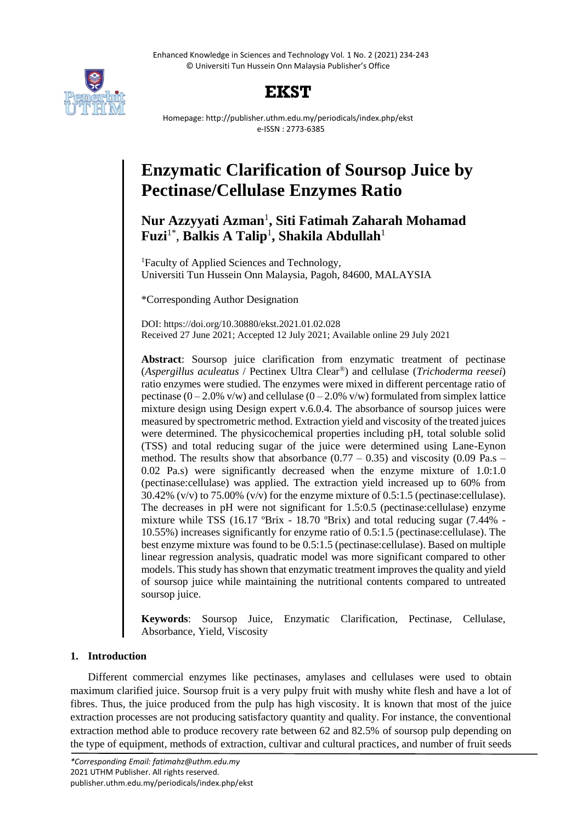Enhanced Knowledge in Sciences and Technology Vol. 1 No. 2 (2021) 234-243 © Universiti Tun Hussein Onn Malaysia Publisher's Office



# **EKST**

Homepage: http://publisher.uthm.edu.my/periodicals/index.php/ekst e-ISSN : 2773-6385

# **Enzymatic Clarification of Soursop Juice by Pectinase/Cellulase Enzymes Ratio**

# **Nur Azzyyati Azman**<sup>1</sup> **, Siti Fatimah Zaharah Mohamad Fuzi**1\* , **Balkis A Talip**<sup>1</sup> **, Shakila Abdullah**<sup>1</sup>

<sup>1</sup>Faculty of Applied Sciences and Technology, Universiti Tun Hussein Onn Malaysia, Pagoh, 84600, MALAYSIA

\*Corresponding Author Designation

DOI: https://doi.org/10.30880/ekst.2021.01.02.028 Received 27 June 2021; Accepted 12 July 2021; Available online 29 July 2021

**Abstract**: Soursop juice clarification from enzymatic treatment of pectinase (*Aspergillus aculeatus* / Pectinex Ultra Clear®) and cellulase (*Trichoderma reesei*) ratio enzymes were studied. The enzymes were mixed in different percentage ratio of pectinase  $(0-2.0\%$  v/w) and cellulase  $(0-2.0\%$  v/w) formulated from simplex lattice mixture design using Design expert v.6.0.4. The absorbance of soursop juices were measured by spectrometric method. Extraction yield and viscosity of the treated juices were determined. The physicochemical properties including pH, total soluble solid (TSS) and total reducing sugar of the juice were determined using Lane-Eynon method. The results show that absorbance  $(0.77 - 0.35)$  and viscosity  $(0.09 \text{ Pa.s} -$ 0.02 Pa.s) were significantly decreased when the enzyme mixture of 1.0:1.0 (pectinase:cellulase) was applied. The extraction yield increased up to 60% from 30.42% (v/v) to 75.00% (v/v) for the enzyme mixture of 0.5:1.5 (pectinase:cellulase). The decreases in pH were not significant for 1.5:0.5 (pectinase:cellulase) enzyme mixture while TSS (16.17 ºBrix - 18.70 ºBrix) and total reducing sugar (7.44% - 10.55%) increases significantly for enzyme ratio of 0.5:1.5 (pectinase:cellulase). The best enzyme mixture was found to be 0.5:1.5 (pectinase:cellulase). Based on multiple linear regression analysis, quadratic model was more significant compared to other models. This study has shown that enzymatic treatment improves the quality and yield of soursop juice while maintaining the nutritional contents compared to untreated soursop juice.

**Keywords**: Soursop Juice, Enzymatic Clarification, Pectinase, Cellulase, Absorbance, Yield, Viscosity

# **1. Introduction**

Different commercial enzymes like pectinases, amylases and cellulases were used to obtain maximum clarified juice. Soursop fruit is a very pulpy fruit with mushy white flesh and have a lot of fibres. Thus, the juice produced from the pulp has high viscosity. It is known that most of the juice extraction processes are not producing satisfactory quantity and quality. For instance, the conventional extraction method able to produce recovery rate between 62 and 82.5% of soursop pulp depending on the type of equipment, methods of extraction, cultivar and cultural practices, and number of fruit seeds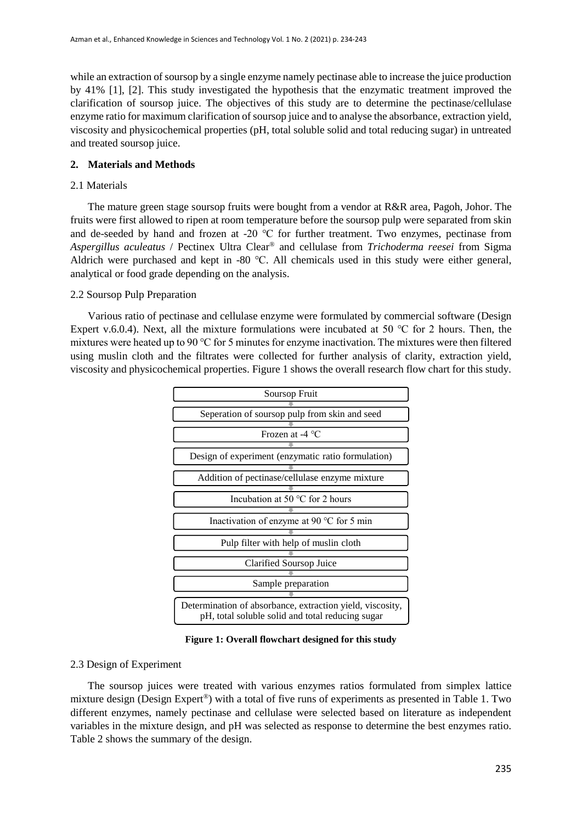while an extraction of soursop by a single enzyme namely pectinase able to increase the juice production by 41% [1], [2]. This study investigated the hypothesis that the enzymatic treatment improved the clarification of soursop juice. The objectives of this study are to determine the pectinase/cellulase enzyme ratio for maximum clarification of soursop juice and to analyse the absorbance, extraction yield, viscosity and physicochemical properties (pH, total soluble solid and total reducing sugar) in untreated and treated soursop juice.

# **2. Materials and Methods**

### 2.1 Materials

The mature green stage soursop fruits were bought from a vendor at R&R area, Pagoh, Johor. The fruits were first allowed to ripen at room temperature before the soursop pulp were separated from skin and de-seeded by hand and frozen at -20 ℃ for further treatment. Two enzymes, pectinase from *Aspergillus aculeatus* / Pectinex Ultra Clear® and cellulase from *Trichoderma reesei* from Sigma Aldrich were purchased and kept in -80 ℃. All chemicals used in this study were either general, analytical or food grade depending on the analysis.

# 2.2 Soursop Pulp Preparation

Various ratio of pectinase and cellulase enzyme were formulated by commercial software (Design Expert v.6.0.4). Next, all the mixture formulations were incubated at 50 °C for 2 hours. Then, the mixtures were heated up to 90 ℃ for 5 minutes for enzyme inactivation. The mixtures were then filtered using muslin cloth and the filtrates were collected for further analysis of clarity, extraction yield, viscosity and physicochemical properties. Figure 1 shows the overall research flow chart for this study.



**Figure 1: Overall flowchart designed for this study**

#### 2.3 Design of Experiment

The soursop juices were treated with various enzymes ratios formulated from simplex lattice mixture design (Design Expert®) with a total of five runs of experiments as presented in Table 1. Two different enzymes, namely pectinase and cellulase were selected based on literature as independent variables in the mixture design, and pH was selected as response to determine the best enzymes ratio. Table 2 shows the summary of the design.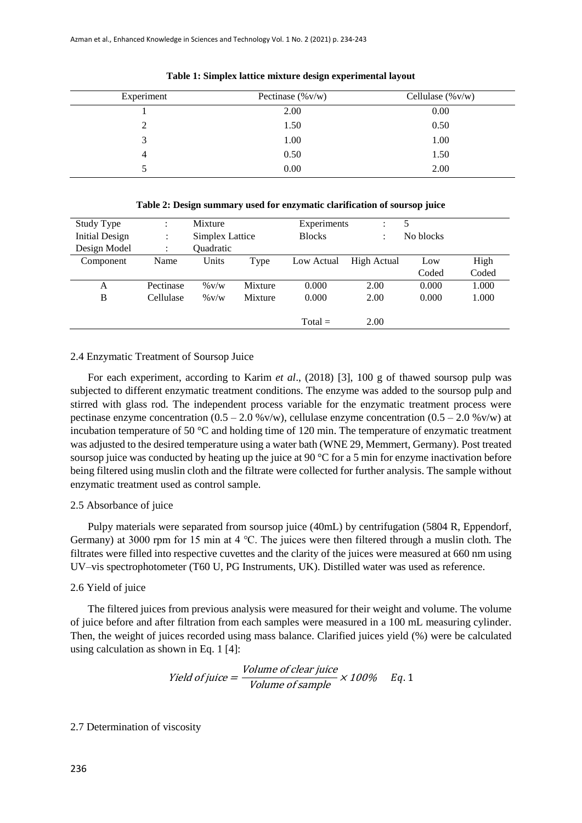| Experiment    | Pectinase $(\%v/w)$ | Cellulase $(\%v/w)$ |
|---------------|---------------------|---------------------|
|               | 2.00                | 0.00                |
| $\mathcal{D}$ | 1.50                | 0.50                |
| 2             | 1.00                | 1.00                |
| 4             | 0.50                | 1.50                |
|               | 0.00                | 2.00                |

**Table 1: Simplex lattice mixture design experimental layout**

| Study Type            | ÷            | Mixture                |         | Experiments   | ÷           |           |       |
|-----------------------|--------------|------------------------|---------|---------------|-------------|-----------|-------|
| <b>Initial Design</b> | ٠<br>$\cdot$ | <b>Simplex Lattice</b> |         | <b>Blocks</b> | ٠           | No blocks |       |
| Design Model          | ٠            | Quadratic              |         |               |             |           |       |
| Component             | Name         | Units                  | Type    | Low Actual    | High Actual | Low       | High  |
|                       |              |                        |         |               |             | Coded     | Coded |
| A                     | Pectinase    | $\%$ V/W               | Mixture | 0.000         | 2.00        | 0.000     | 1.000 |
| B                     | Cellulase    | $\%$ V/W               | Mixture | 0.000         | 2.00        | 0.000     | 1.000 |
|                       |              |                        |         |               |             |           |       |
|                       |              |                        |         | $Total =$     | 2.00        |           |       |

**Table 2: Design summary used for enzymatic clarification of soursop juice**

#### 2.4 Enzymatic Treatment of Soursop Juice

For each experiment, according to Karim *et al*., (2018) [3], 100 g of thawed soursop pulp was subjected to different enzymatic treatment conditions. The enzyme was added to the soursop pulp and stirred with glass rod. The independent process variable for the enzymatic treatment process were pectinase enzyme concentration  $(0.5 - 2.0 %v/w)$ , cellulase enzyme concentration  $(0.5 - 2.0 %v/w)$  at incubation temperature of 50 °C and holding time of 120 min. The temperature of enzymatic treatment was adjusted to the desired temperature using a water bath (WNE 29, Memmert, Germany). Post treated soursop juice was conducted by heating up the juice at 90  $^{\circ}$ C for a 5 min for enzyme inactivation before being filtered using muslin cloth and the filtrate were collected for further analysis. The sample without enzymatic treatment used as control sample.

#### 2.5 Absorbance of juice

Pulpy materials were separated from soursop juice (40mL) by centrifugation (5804 R, Eppendorf, Germany) at 3000 rpm for 15 min at 4 ℃. The juices were then filtered through a muslin cloth. The filtrates were filled into respective cuvettes and the clarity of the juices were measured at 660 nm using UV–vis spectrophotometer (T60 U, PG Instruments, UK). Distilled water was used as reference.

#### 2.6 Yield of juice

The filtered juices from previous analysis were measured for their weight and volume. The volume of juice before and after filtration from each samples were measured in a 100 mL measuring cylinder. Then, the weight of juices recorded using mass balance. Clarified juices yield (%) were be calculated using calculation as shown in Eq. 1 [4]:

Yield of juice = 
$$
\frac{Volume\ of\ clear\ juice}{Volume\ of\ sample} \times 100\% \quad Eq. 1
$$

### 2.7 Determination of viscosity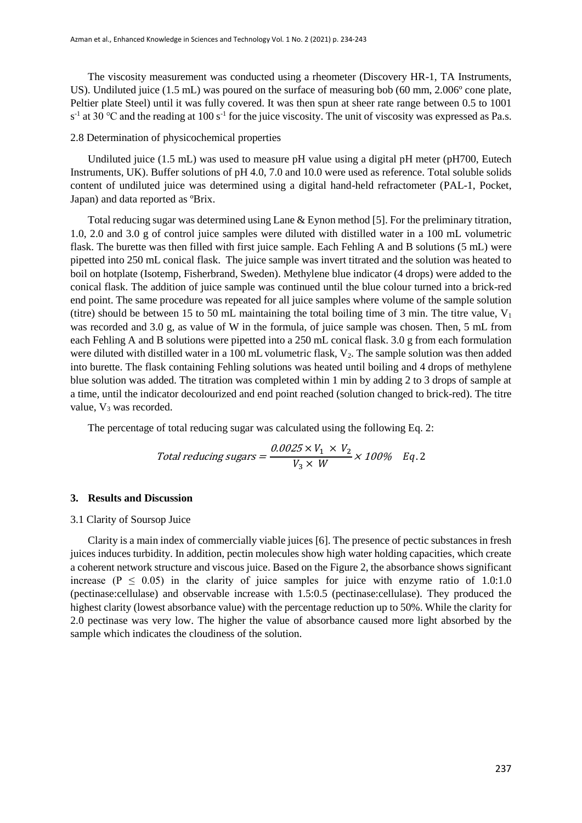The viscosity measurement was conducted using a rheometer (Discovery HR-1, TA Instruments, US). Undiluted juice (1.5 mL) was poured on the surface of measuring bob (60 mm, 2.006° cone plate, Peltier plate Steel) until it was fully covered. It was then spun at sheer rate range between 0.5 to 1001  $s<sup>-1</sup>$  at 30 °C and the reading at 100 s<sup>-1</sup> for the juice viscosity. The unit of viscosity was expressed as Pa.s.

#### 2.8 Determination of physicochemical properties

Undiluted juice (1.5 mL) was used to measure pH value using a digital pH meter (pH700, Eutech Instruments, UK). Buffer solutions of pH 4.0, 7.0 and 10.0 were used as reference. Total soluble solids content of undiluted juice was determined using a digital hand-held refractometer (PAL-1, Pocket, Japan) and data reported as ºBrix.

Total reducing sugar was determined using Lane & Eynon method [5]. For the preliminary titration, 1.0, 2.0 and 3.0 g of control juice samples were diluted with distilled water in a 100 mL volumetric flask. The burette was then filled with first juice sample. Each Fehling A and B solutions (5 mL) were pipetted into 250 mL conical flask. The juice sample was invert titrated and the solution was heated to boil on hotplate (Isotemp, Fisherbrand, Sweden). Methylene blue indicator (4 drops) were added to the conical flask. The addition of juice sample was continued until the blue colour turned into a brick-red end point. The same procedure was repeated for all juice samples where volume of the sample solution (titre) should be between 15 to 50 mL maintaining the total boiling time of 3 min. The titre value,  $V_1$ was recorded and 3.0 g, as value of W in the formula, of juice sample was chosen. Then, 5 mL from each Fehling A and B solutions were pipetted into a 250 mL conical flask. 3.0 g from each formulation were diluted with distilled water in a 100 mL volumetric flask, V<sub>2</sub>. The sample solution was then added into burette. The flask containing Fehling solutions was heated until boiling and 4 drops of methylene blue solution was added. The titration was completed within 1 min by adding 2 to 3 drops of sample at a time, until the indicator decolourized and end point reached (solution changed to brick-red). The titre value,  $V_3$  was recorded.

The percentage of total reducing sugar was calculated using the following Eq. 2:

Total reducing sugars = 
$$
\frac{0.0025 \times V_1 \times V_2}{V_3 \times W} \times 100\% \text{ Eq. 2}
$$

#### **3. Results and Discussion**

#### 3.1 Clarity of Soursop Juice

Clarity is a main index of commercially viable juices [6]. The presence of pectic substances in fresh juices induces turbidity. In addition, pectin molecules show high water holding capacities, which create a coherent network structure and viscous juice. Based on the Figure 2, the absorbance shows significant increase ( $P \le 0.05$ ) in the clarity of juice samples for juice with enzyme ratio of 1.0:1.0 (pectinase:cellulase) and observable increase with 1.5:0.5 (pectinase:cellulase). They produced the highest clarity (lowest absorbance value) with the percentage reduction up to 50%. While the clarity for 2.0 pectinase was very low. The higher the value of absorbance caused more light absorbed by the sample which indicates the cloudiness of the solution.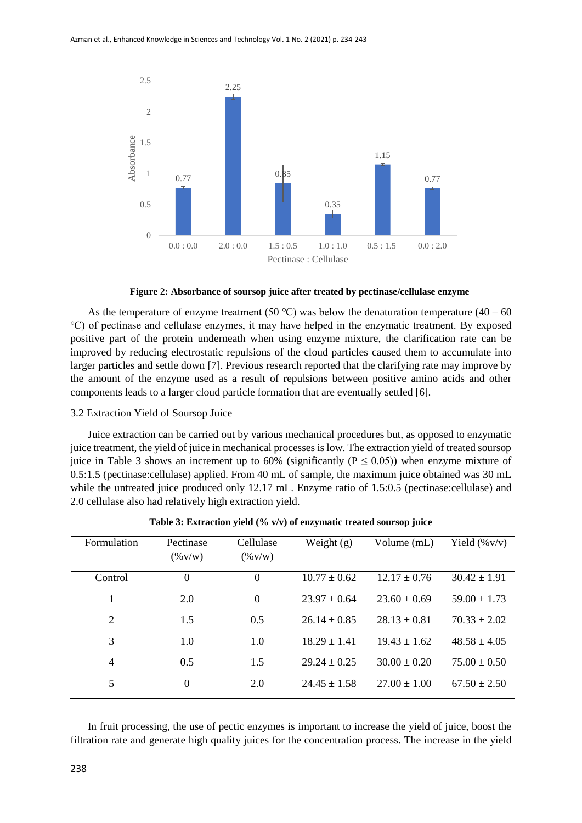

**Figure 2: Absorbance of soursop juice after treated by pectinase/cellulase enzyme**

As the temperature of enzyme treatment (50 °C) was below the denaturation temperature (40 – 60 ℃) of pectinase and cellulase enzymes, it may have helped in the enzymatic treatment. By exposed positive part of the protein underneath when using enzyme mixture, the clarification rate can be improved by reducing electrostatic repulsions of the cloud particles caused them to accumulate into larger particles and settle down [7]. Previous research reported that the clarifying rate may improve by the amount of the enzyme used as a result of repulsions between positive amino acids and other components leads to a larger cloud particle formation that are eventually settled [6].

#### 3.2 Extraction Yield of Soursop Juice

Juice extraction can be carried out by various mechanical procedures but, as opposed to enzymatic juice treatment, the yield of juice in mechanical processes is low. The extraction yield of treated soursop juice in Table 3 shows an increment up to 60% (significantly ( $P \le 0.05$ )) when enzyme mixture of 0.5:1.5 (pectinase:cellulase) applied. From 40 mL of sample, the maximum juice obtained was 30 mL while the untreated juice produced only 12.17 mL. Enzyme ratio of 1.5:0.5 (pectinase:cellulase) and 2.0 cellulase also had relatively high extraction yield.

| Formulation    | Pectinase<br>$(\% \text{V/w})$ | Cellulase<br>$(\% \text{V/w})$ | Weight $(g)$     | Volume (mL)      | Yield $(\%v/v)$  |
|----------------|--------------------------------|--------------------------------|------------------|------------------|------------------|
| Control        | $\Omega$                       | $\Omega$                       | $10.77 + 0.62$   | $12.17 + 0.76$   | $30.42 \pm 1.91$ |
|                | 2.0                            | $\theta$                       | $23.97 + 0.64$   | $23.60 \pm 0.69$ | $59.00 \pm 1.73$ |
| 2              | 1.5                            | 0.5                            | $26.14 \pm 0.85$ | $28.13 + 0.81$   | $70.33 \pm 2.02$ |
| 3              | 1.0                            | 1.0                            | $18.29 \pm 1.41$ | $19.43 + 1.62$   | $48.58 \pm 4.05$ |
| $\overline{4}$ | 0.5                            | 1.5                            | $29.24 \pm 0.25$ | $30.00 \pm 0.20$ | $75.00 \pm 0.50$ |
| 5              | $\Omega$                       | 2.0                            | $24.45 \pm 1.58$ | $27.00 \pm 1.00$ | $67.50 \pm 2.50$ |

**Table 3: Extraction yield (% v/v) of enzymatic treated soursop juice**

In fruit processing, the use of pectic enzymes is important to increase the yield of juice, boost the filtration rate and generate high quality juices for the concentration process. The increase in the yield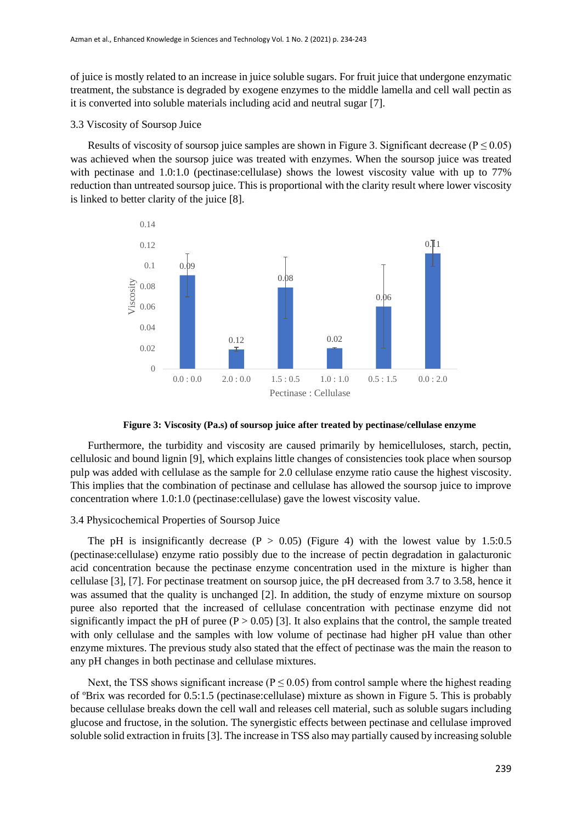of juice is mostly related to an increase in juice soluble sugars. For fruit juice that undergone enzymatic treatment, the substance is degraded by exogene enzymes to the middle lamella and cell wall pectin as it is converted into soluble materials including acid and neutral sugar [7].

#### 3.3 Viscosity of Soursop Juice

Results of viscosity of soursop juice samples are shown in Figure 3. Significant decrease ( $P \le 0.05$ ) was achieved when the soursop juice was treated with enzymes. When the soursop juice was treated with pectinase and 1.0:1.0 (pectinase:cellulase) shows the lowest viscosity value with up to 77% reduction than untreated soursop juice. This is proportional with the clarity result where lower viscosity is linked to better clarity of the juice [8].



**Figure 3: Viscosity (Pa.s) of soursop juice after treated by pectinase/cellulase enzyme**

Furthermore, the turbidity and viscosity are caused primarily by hemicelluloses, starch, pectin, cellulosic and bound lignin [9], which explains little changes of consistencies took place when soursop pulp was added with cellulase as the sample for 2.0 cellulase enzyme ratio cause the highest viscosity. This implies that the combination of pectinase and cellulase has allowed the soursop juice to improve concentration where 1.0:1.0 (pectinase:cellulase) gave the lowest viscosity value.

# 3.4 Physicochemical Properties of Soursop Juice

The pH is insignificantly decrease  $(P > 0.05)$  (Figure 4) with the lowest value by 1.5:0.5 (pectinase:cellulase) enzyme ratio possibly due to the increase of pectin degradation in galacturonic acid concentration because the pectinase enzyme concentration used in the mixture is higher than cellulase [3], [7]. For pectinase treatment on soursop juice, the pH decreased from 3.7 to 3.58, hence it was assumed that the quality is unchanged [2]. In addition, the study of enzyme mixture on soursop puree also reported that the increased of cellulase concentration with pectinase enzyme did not significantly impact the pH of puree  $(P > 0.05)$  [3]. It also explains that the control, the sample treated with only cellulase and the samples with low volume of pectinase had higher pH value than other enzyme mixtures. The previous study also stated that the effect of pectinase was the main the reason to any pH changes in both pectinase and cellulase mixtures.

Next, the TSS shows significant increase ( $P \le 0.05$ ) from control sample where the highest reading of ºBrix was recorded for 0.5:1.5 (pectinase:cellulase) mixture as shown in Figure 5. This is probably because cellulase breaks down the cell wall and releases cell material, such as soluble sugars including glucose and fructose, in the solution. The synergistic effects between pectinase and cellulase improved soluble solid extraction in fruits [3]. The increase in TSS also may partially caused by increasing soluble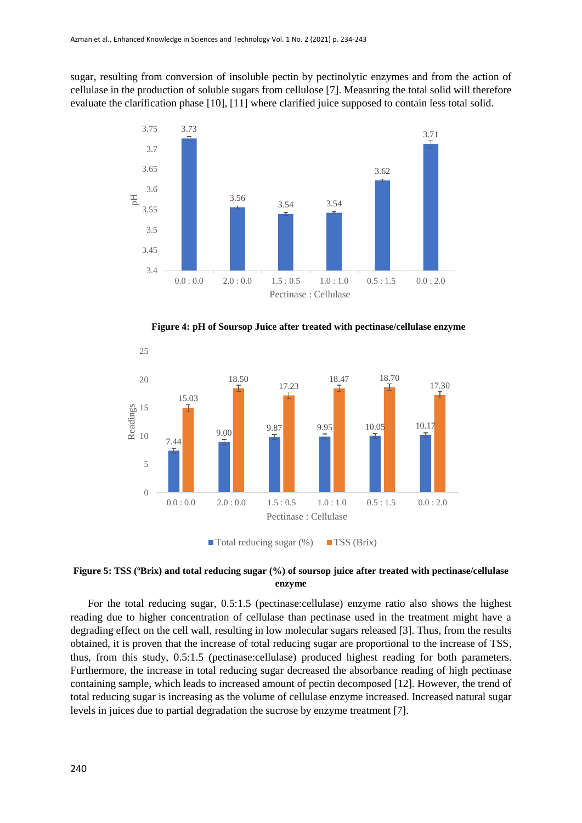sugar, resulting from conversion of insoluble pectin by pectinolytic enzymes and from the action of cellulase in the production of soluble sugars from cellulose [7]. Measuring the total solid will therefore evaluate the clarification phase [10], [11] where clarified juice supposed to contain less total solid.



**Figure 4: pH of Soursop Juice after treated with pectinase/cellulase enzyme** 



**Figure 5: TSS (ºBrix) and total reducing sugar (%) of soursop juice after treated with pectinase/cellulase enzyme**

For the total reducing sugar, 0.5:1.5 (pectinase:cellulase) enzyme ratio also shows the highest reading due to higher concentration of cellulase than pectinase used in the treatment might have a degrading effect on the cell wall, resulting in low molecular sugars released [3]. Thus, from the results obtained, it is proven that the increase of total reducing sugar are proportional to the increase of TSS, thus, from this study, 0.5:1.5 (pectinase:cellulase) produced highest reading for both parameters. Furthermore, the increase in total reducing sugar decreased the absorbance reading of high pectinase containing sample, which leads to increased amount of pectin decomposed [12]. However, the trend of total reducing sugar is increasing as the volume of cellulase enzyme increased. Increased natural sugar levels in juices due to partial degradation the sucrose by enzyme treatment [7].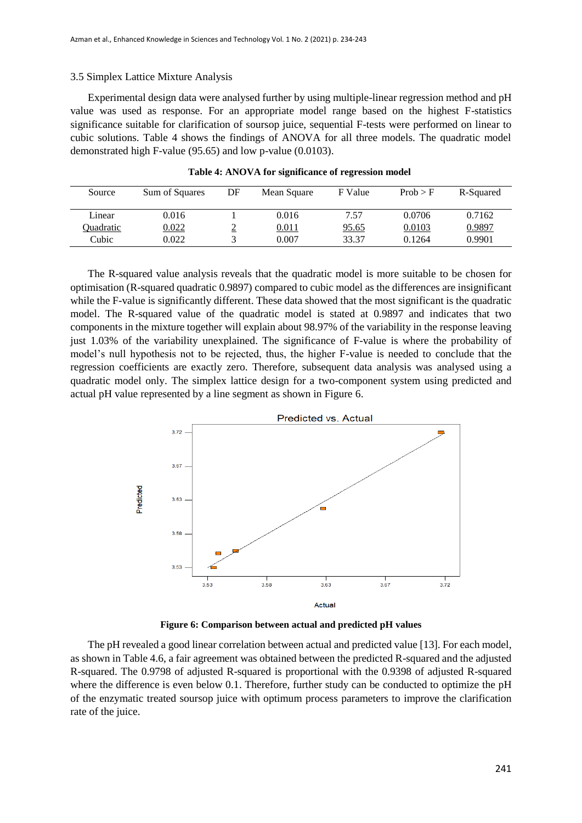#### 3.5 Simplex Lattice Mixture Analysis

Experimental design data were analysed further by using multiple-linear regression method and pH value was used as response. For an appropriate model range based on the highest F-statistics significance suitable for clarification of soursop juice, sequential F-tests were performed on linear to cubic solutions. Table 4 shows the findings of ANOVA for all three models. The quadratic model demonstrated high F-value (95.65) and low p-value (0.0103).

| Source    | Sum of Squares | DF | Mean Square | F Value      | Prob > F | R-Squared |
|-----------|----------------|----|-------------|--------------|----------|-----------|
| Linear    | 0.016          |    | 0.016       | 7.57         | 0.0706   | 0.7162    |
| Quadratic | 0.022          | ≃  | 0.011       | <u>95.65</u> | 0.0103   | 0.9897    |
| Cubic     | 0.022          |    | 0.007       | 33.37        | 0.1264   | 0.9901    |

| Table 4: ANOVA for significance of regression model |  |  |  |  |  |  |  |  |
|-----------------------------------------------------|--|--|--|--|--|--|--|--|
|-----------------------------------------------------|--|--|--|--|--|--|--|--|

The R-squared value analysis reveals that the quadratic model is more suitable to be chosen for optimisation (R-squared quadratic 0.9897) compared to cubic model as the differences are insignificant while the F-value is significantly different. These data showed that the most significant is the quadratic model. The R-squared value of the quadratic model is stated at 0.9897 and indicates that two components in the mixture together will explain about 98.97% of the variability in the response leaving just 1.03% of the variability unexplained. The significance of F-value is where the probability of model's null hypothesis not to be rejected, thus, the higher F-value is needed to conclude that the regression coefficients are exactly zero. Therefore, subsequent data analysis was analysed using a quadratic model only. The simplex lattice design for a two-component system using predicted and actual pH value represented by a line segment as shown in Figure 6.



**Figure 6: Comparison between actual and predicted pH values**

The pH revealed a good linear correlation between actual and predicted value [13]. For each model, as shown in Table 4.6, a fair agreement was obtained between the predicted R-squared and the adjusted R-squared. The 0.9798 of adjusted R-squared is proportional with the 0.9398 of adjusted R-squared where the difference is even below 0.1. Therefore, further study can be conducted to optimize the pH of the enzymatic treated soursop juice with optimum process parameters to improve the clarification rate of the juice.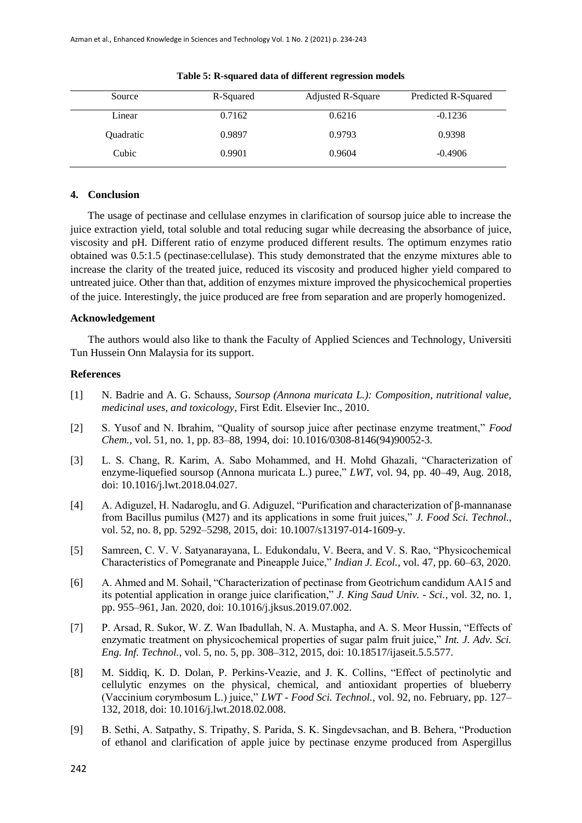| Source    | R-Squared | Adjusted R-Square | Predicted R-Squared |
|-----------|-----------|-------------------|---------------------|
| Linear    | 0.7162    | 0.6216            | $-0.1236$           |
| Quadratic | 0.9897    | 0.9793            | 0.9398              |
| Cubic     | 0.9901    | 0.9604            | $-0.4906$           |

**Table 5: R-squared data of different regression models**

# **4. Conclusion**

The usage of pectinase and cellulase enzymes in clarification of soursop juice able to increase the juice extraction yield, total soluble and total reducing sugar while decreasing the absorbance of juice, viscosity and pH. Different ratio of enzyme produced different results. The optimum enzymes ratio obtained was 0.5:1.5 (pectinase:cellulase). This study demonstrated that the enzyme mixtures able to increase the clarity of the treated juice, reduced its viscosity and produced higher yield compared to untreated juice. Other than that, addition of enzymes mixture improved the physicochemical properties of the juice. Interestingly, the juice produced are free from separation and are properly homogenized.

#### **Acknowledgement**

The authors would also like to thank the Faculty of Applied Sciences and Technology, Universiti Tun Hussein Onn Malaysia for its support.

#### **References**

- [1] N. Badrie and A. G. Schauss, *Soursop (Annona muricata L.): Composition, nutritional value, medicinal uses, and toxicology*, First Edit. Elsevier Inc., 2010.
- [2] S. Yusof and N. Ibrahim, "Quality of soursop juice after pectinase enzyme treatment," *Food Chem.*, vol. 51, no. 1, pp. 83–88, 1994, doi: 10.1016/0308-8146(94)90052-3.
- [3] L. S. Chang, R. Karim, A. Sabo Mohammed, and H. Mohd Ghazali, "Characterization of enzyme-liquefied soursop (Annona muricata L.) puree," *LWT*, vol. 94, pp. 40–49, Aug. 2018, doi: 10.1016/j.lwt.2018.04.027.
- [4] A. Adiguzel, H. Nadaroglu, and G. Adiguzel, "Purification and characterization of β-mannanase from Bacillus pumilus (M27) and its applications in some fruit juices," *J. Food Sci. Technol.*, vol. 52, no. 8, pp. 5292–5298, 2015, doi: 10.1007/s13197-014-1609-y.
- [5] Samreen, C. V. V. Satyanarayana, L. Edukondalu, V. Beera, and V. S. Rao, "Physicochemical Characteristics of Pomegranate and Pineapple Juice," *Indian J. Ecol.*, vol. 47, pp. 60–63, 2020.
- [6] A. Ahmed and M. Sohail, "Characterization of pectinase from Geotrichum candidum AA15 and its potential application in orange juice clarification," *J. King Saud Univ. - Sci.*, vol. 32, no. 1, pp. 955–961, Jan. 2020, doi: 10.1016/j.jksus.2019.07.002.
- [7] P. Arsad, R. Sukor, W. Z. Wan Ibadullah, N. A. Mustapha, and A. S. Meor Hussin, "Effects of enzymatic treatment on physicochemical properties of sugar palm fruit juice," *Int. J. Adv. Sci. Eng. Inf. Technol.*, vol. 5, no. 5, pp. 308–312, 2015, doi: 10.18517/ijaseit.5.5.577.
- [8] M. Siddiq, K. D. Dolan, P. Perkins-Veazie, and J. K. Collins, "Effect of pectinolytic and cellulytic enzymes on the physical, chemical, and antioxidant properties of blueberry (Vaccinium corymbosum L.) juice," *LWT - Food Sci. Technol.*, vol. 92, no. February, pp. 127– 132, 2018, doi: 10.1016/j.lwt.2018.02.008.
- [9] B. Sethi, A. Satpathy, S. Tripathy, S. Parida, S. K. Singdevsachan, and B. Behera, "Production of ethanol and clarification of apple juice by pectinase enzyme produced from Aspergillus